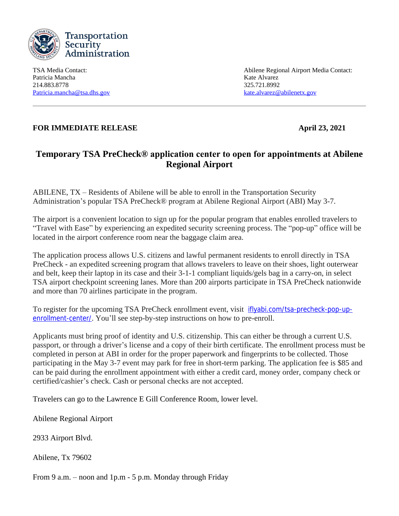

Patricia Mancha Kate Alvarez 214.883.8778 325.721.8992 [Patricia.mancha@tsa.dhs.gov](mailto:Patricia.mancha@tsa.dhs.gov) [kate.alvarez@abilenetx.gov](mailto:kate.alvarez@abilenetx.gov)

TSA Media Contact: Abilene Regional Airport Media Contact:

## **FOR IMMEDIATE RELEASE April 23, 2021**

## **Temporary TSA PreCheck® application center to open for appointments at Abilene Regional Airport**

ABILENE, TX – Residents of Abilene will be able to enroll in the Transportation Security Administration's popular TSA PreCheck® program at Abilene Regional Airport (ABI) May 3-7.

The airport is a convenient location to sign up for the popular program that enables enrolled travelers to "Travel with Ease" by experiencing an expedited security screening process. The "pop-up" office will be located in the airport conference room near the baggage claim area.

The application process allows U.S. citizens and lawful permanent residents to enroll directly in TSA PreCheck - an expedited screening program that allows travelers to leave on their shoes, light outerwear and belt, keep their laptop in its case and their 3-1-1 compliant liquids/gels bag in a carry-on, in select TSA airport checkpoint screening lanes. More than 200 airports participate in TSA PreCheck nationwide and more than 70 airlines participate in the program.

To register for the upcoming TSA PreCheck enrollment event, visit [iflyabi.com/tsa-precheck-pop-up](http://iflyabi.com/tsa-precheck-pop-up-enrollment-center/)enrollment-center/. You'll see step-by-step instructions on how to pre-enroll.

Applicants must bring proof of identity and U.S. citizenship. This can either be through a current U.S. passport, or through a driver's license and a copy of their birth certificate. The enrollment process must be completed in person at ABI in order for the proper paperwork and fingerprints to be collected. Those participating in the May 3-7 event may park for free in short-term parking. The application fee is \$85 and can be paid during the enrollment appointment with either a credit card, money order, company check or certified/cashier's check. Cash or personal checks are not accepted.

Travelers can go to the Lawrence E Gill Conference Room, lower level.

Abilene Regional Airport

2933 Airport Blvd.

Abilene, Tx 79602

From 9 a.m. – noon and 1p.m - 5 p.m. Monday through Friday